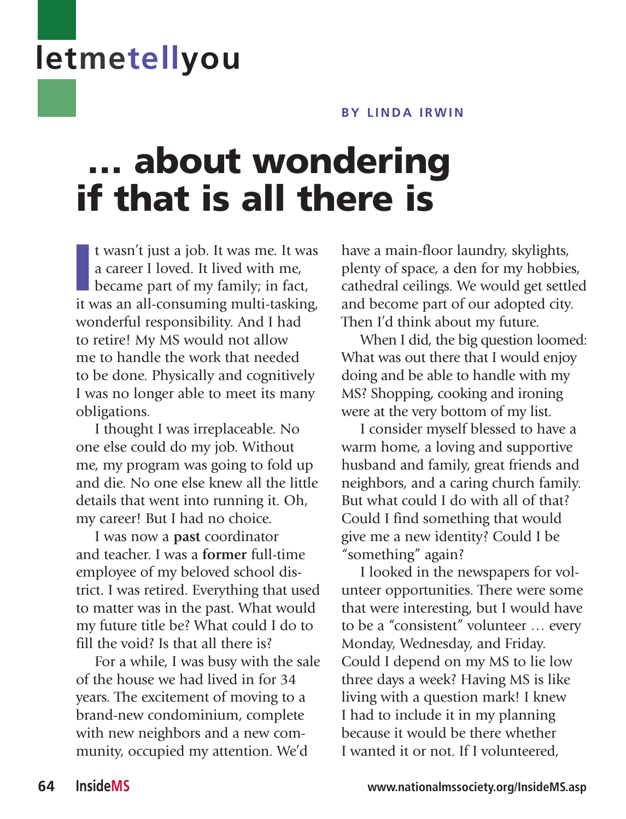## **letmetellyou**

## **by LINDA IRWIN**

## … about wondering if that is all there is

It wasn't just a job. It was me. It was<br>a career I loved. It lived with me,<br>became part of my family; in fact,<br>it was an all-consuming multi-tasking, t wasn't just a job. It was me. It was a career I loved. It lived with me, became part of my family; in fact, wonderful responsibility. And I had to retire! My MS would not allow me to handle the work that needed to be done. Physically and cognitively I was no longer able to meet its many obligations.

I thought I was irreplaceable. No one else could do my job. Without me, my program was going to fold up and die. No one else knew all the little details that went into running it. Oh, my career! But I had no choice.

I was now a **past** coordinator and teacher. I was a **former** full-time employee of my beloved school district. I was retired. Everything that used to matter was in the past. What would my future title be? What could I do to fill the void? Is that all there is?

For a while, I was busy with the sale of the house we had lived in for 34 years. The excitement of moving to a brand-new condominium, complete with new neighbors and a new community, occupied my attention. We'd

have a main-floor laundry, skylights, plenty of space, a den for my hobbies, cathedral ceilings. We would get settled and become part of our adopted city. Then I'd think about my future.

When I did, the big question loomed: What was out there that I would enjoy doing and be able to handle with my MS? Shopping, cooking and ironing were at the very bottom of my list.

I consider myself blessed to have a warm home, a loving and supportive husband and family, great friends and neighbors, and a caring church family. But what could I do with all of that? Could I find something that would give me a new identity? Could I be "something" again?

I looked in the newspapers for volunteer opportunities. There were some that were interesting, but I would have to be a "consistent" volunteer … every Monday, Wednesday, and Friday. Could I depend on my MS to lie low three days a week? Having MS is like living with a question mark! I knew I had to include it in my planning because it would be there whether I wanted it or not. If I volunteered,